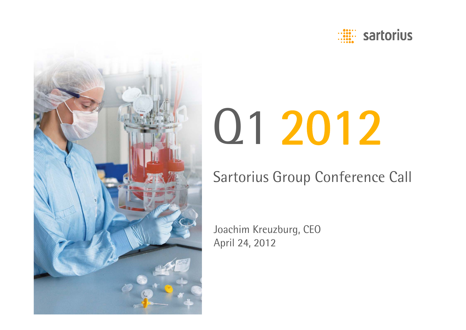



# Q1 2012

## Sartorius Group Conference Call

Joachim Kreuzburg, CEO April 24, 2012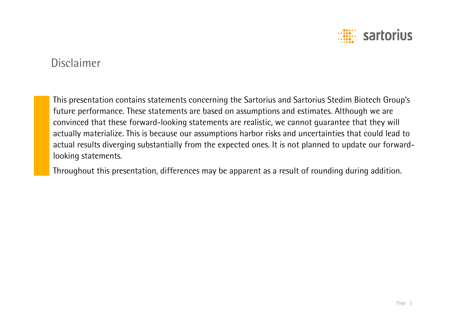

## Disclaimer

This presentation contains statements concerning the Sartorius and Sartorius Stedim Biotech Group's future performance. These statements are based on assumptions and estimates. Although we are convinced that these forward-looking statements are realistic, we cannot guarantee that they will actually materialize. This is because our assumptions harbor risks and uncertainties that could lead to actual results diverging substantially from the expected ones. It is not planned to update our forwardlooking statements.

Throughout this presentation, differences may be apparent as a result of rounding during addition.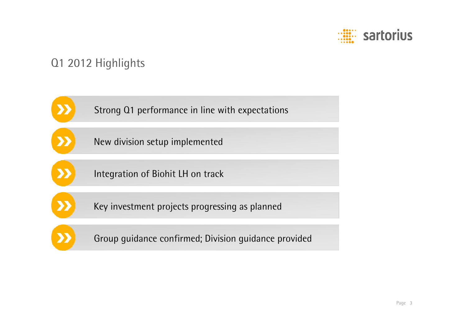

## Q1 2012 Highlights

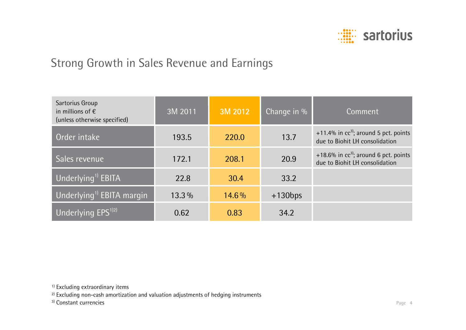

## Strong Growth in Sales Revenue and Earnings

| Sartorius Group<br>in millions of $\epsilon$<br>(unless otherwise specified) | 3M 2011  | 3M 2012 | Change in % | Comment                                                                   |
|------------------------------------------------------------------------------|----------|---------|-------------|---------------------------------------------------------------------------|
| Order intake                                                                 | 193.5    | 220.0   | 13.7        | +11.4% in $cc^3$ ; around 5 pct. points<br>due to Biohit LH consolidation |
| Sales revenue                                                                | 172.1    | 208.1   | 20.9        | +18.6% in $cc^3$ ; around 6 pct. points<br>due to Biohit LH consolidation |
| Underlying <sup>1)</sup> EBITA                                               | 22.8     | 30.4    | 33.2        |                                                                           |
| Underlying <sup>1)</sup> EBITA margin                                        | $13.3\%$ | 14.6%   | $+130bps$   |                                                                           |
| Underlying EPS <sup>1)2)</sup>                                               | 0.62     | 0.83    | 34.2        |                                                                           |

<sup>1)</sup> Excluding extraordinary items

<sup>2)</sup> Excluding non-cash amortization and valuation adjustments of hedging instruments

3) Constant currencies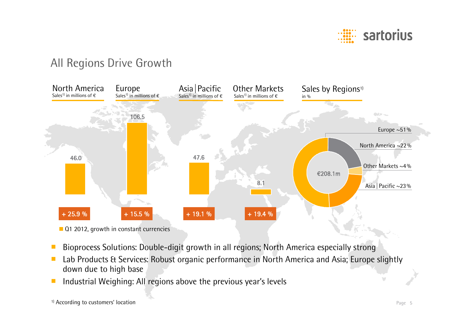

## All Regions Drive Growth



- ■Bioprocess Solutions: Double-digit growth in all regions; North America especially strong
- ■ Lab Products & Services: Robust organic performance in North America and Asia; Europe slightly down due to high base
- ■Industrial Weighing: All regions above the previous year's levels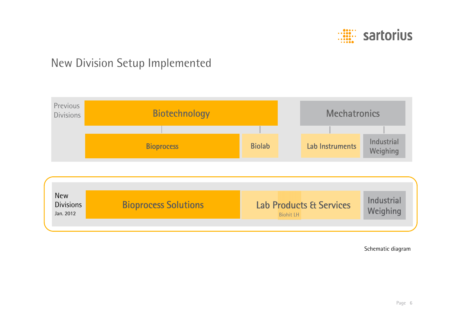

## New Division Setup Implemented



Schematic diagram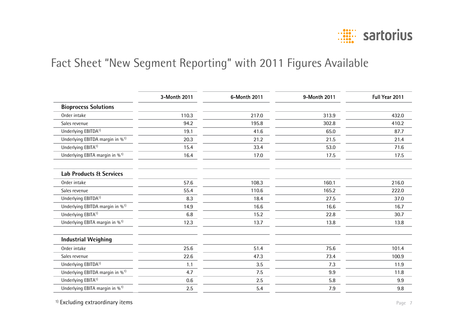

## Fact Sheet "New Segment Reporting" with 2011 Figures Available

|                                             | 3-Month 2011 | 6-Month 2011 | 9-Month 2011 | Full Year 2011 |
|---------------------------------------------|--------------|--------------|--------------|----------------|
| <b>Bioprocess Solutions</b>                 |              |              |              |                |
| Order intake                                | 110.3        | 217.0        | 313.9        | 432.0          |
| Sales revenue                               | 94.2         | 195.8        | 302.8        | 410.2          |
| Underlying EBITDA <sup>1)</sup>             | 19.1         | 41.6         | 65.0         | 87.7           |
| Underlying EBITDA margin in % <sup>1)</sup> | 20.3         | 21.2         | 21.5         | 21.4           |
| Underlying EBITA <sup>1)</sup>              | 15.4         | 33.4         | 53.0         | 71.6           |
| Underlying EBITA margin in % <sup>1)</sup>  | 16.4         | 17.0         | 17.5         | 17.5           |
| <b>Lab Products &amp; Services</b>          |              |              |              |                |
| Order intake                                | 57.6         | 108.3        | 160.1        | 216.0          |
| Sales revenue                               | 55.4         | 110.6        | 165.2        | 222.0          |
| Underlying EBITDA <sup>1)</sup>             | 8.3          | 18.4         | 27.5         | 37.0           |
| Underlying EBITDA margin in % <sup>1)</sup> | 14.9         | 16.6         | 16.6         | 16.7           |
| Underlying EBITA <sup>1)</sup>              | 6.8          | 15.2         | 22.8         | 30.7           |
| Underlying EBITA margin in % <sup>1)</sup>  | 12.3         | 13.7         | 13.8         | 13.8           |
| <b>Industrial Weighing</b>                  |              |              |              |                |
| Order intake                                | 25.6         | 51.4         | 75.6         | 101.4          |
| Sales revenue                               | 22.6         | 47.3         | 73.4         | 100.9          |
| Underlying EBITDA <sup>1)</sup>             | 1.1          | 3.5          | 7.3          | 11.9           |
| Underlying EBITDA margin in % <sup>1)</sup> | 4.7          | 7.5          | 9.9          | 11.8           |
| Underlying EBITA <sup>1)</sup>              | 0.6          | 2.5          | 5.8          | 9.9            |
| Underlying EBITA margin in % <sup>1)</sup>  | 2.5          | 5.4          | 7.9          | 9.8            |

<sup>1)</sup> Excluding extraordinary items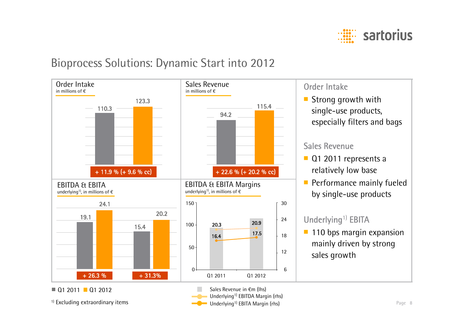

### Bioprocess Solutions: Dynamic Start into 2012

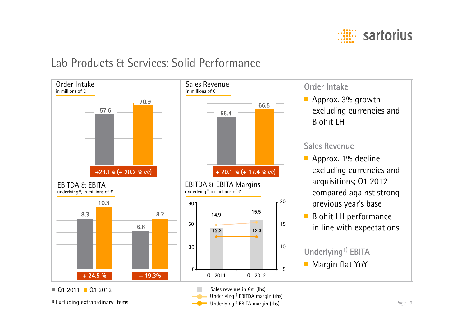

### Lab Products & Services: Solid Performance

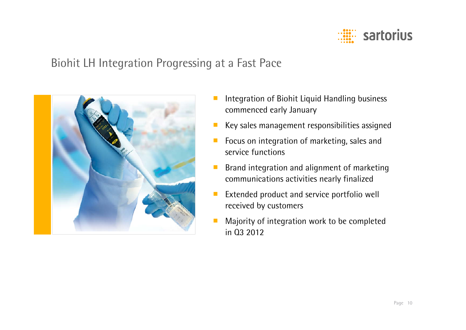

## Biohit LH Integration Progressing at a Fast Pace



- Integration of Biohit Liquid Handling business commenced early January
- ■Key sales management responsibilities assigned
- ■ Focus on integration of marketing, sales and service functions
- ■ Brand integration and alignment of marketing communications activities nearly finalized
- ■ Extended product and service portfolio well received by customers
- ■ Majority of integration work to be completed in Q3 2012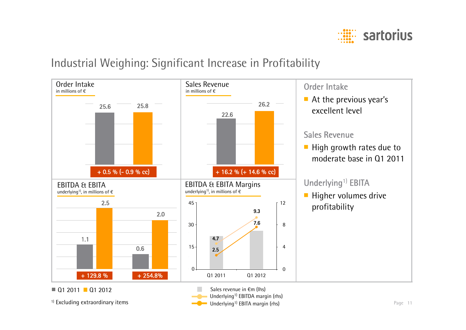

## Industrial Weighing: Significant Increase in Profitability

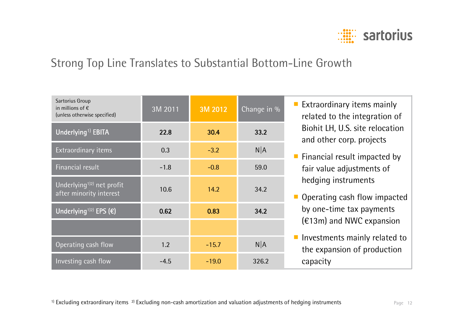

## Strong Top Line Translates to Substantial Bottom-Line Growth

| Sartorius Group<br>in millions of $\epsilon$<br>(unless otherwise specified) | 3M 2011 | 3M 2012 | Change in % |
|------------------------------------------------------------------------------|---------|---------|-------------|
| Underlying <sup>1)</sup> EBITA                                               | 22.8    | 30.4    | 33.2        |
| Extraordinary items                                                          | 0.3     | $-3.2$  | $N$ $A$     |
| Financial result                                                             | $-1.8$  | $-0.8$  | 59.0        |
| Underlying <sup>1)2)</sup> net profit<br>after minority interest             | 10.6    | 14.2    | 34.2        |
| Underlying <sup>1)2)</sup> EPS $(\epsilon)$                                  | 0.62    | 0.83    | 34.2        |
|                                                                              |         |         |             |
| Operating cash flow                                                          | 1.2     | $-15.7$ | $N$ $A$     |
| Investing cash flow                                                          | $-4.5$  | $-19.0$ | 326.2       |

- Extraordinary items mainly related to the integration of Biohit LH, U.S. site relocation and other corp. projects
- Financial result impacted by fair value adjustments of hedging instruments
- Operating cash flow impacted by one-time tax payments (€13m) and NWC expansion
- Investments mainly related to the expansion of production capacity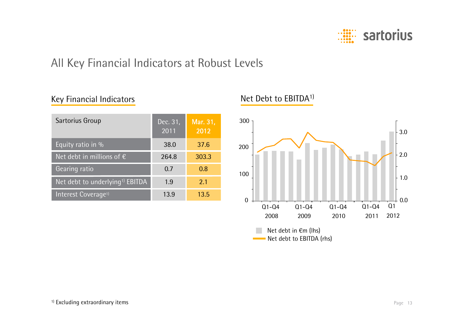

## All Key Financial Indicators at Robust Levels

#### Key Financial Indicators

| Sartorius Group                             | Dec. 31,<br>2011 | Mar. 31,<br>2012 |
|---------------------------------------------|------------------|------------------|
| Equity ratio in %                           | 38.0             | 37.6             |
| Net debt in millions of $\epsilon$          | 264.8            | 303.3            |
| Gearing ratio                               | 0.7              | 0.8              |
| Net debt to underlying <sup>1)</sup> EBITDA | 1.9              | 2.1              |
| Interest Coverage <sup>1)</sup>             | 13.9             | 13.5             |

#### Net Debt to EBITDA1)

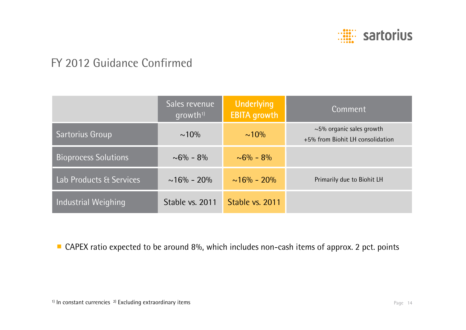

## FY 2012 Guidance Confirmed

|                             | Sales revenue<br>qrowth <sup>1</sup> | <b>Underlying</b><br><b>EBITA</b> growth | Comment                                                            |
|-----------------------------|--------------------------------------|------------------------------------------|--------------------------------------------------------------------|
| Sartorius Group             | $\sim 10\%$                          | $\sim 10\%$                              | $\sim$ 5% organic sales growth<br>+5% from Biohit LH consolidation |
| <b>Bioprocess Solutions</b> | $\sim 6\% - 8\%$                     | $\sim 6\% - 8\%$                         |                                                                    |
| Lab Products & Services     | $\sim$ 16% - 20%                     | $\sim 16\% - 20\%$                       | Primarily due to Biohit LH                                         |
| Industrial Weighing         | Stable vs. 2011                      | Stable vs. 2011                          |                                                                    |

■ CAPEX ratio expected to be around 8%, which includes non-cash items of approx. 2 pct. points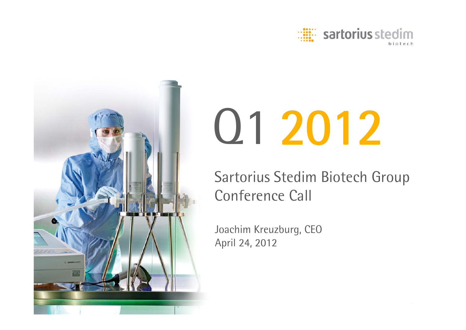



# Q1 2012

Sartorius Stedim Biotech Group Conference Call

Joachim Kreuzburg, CEO April 24, 2012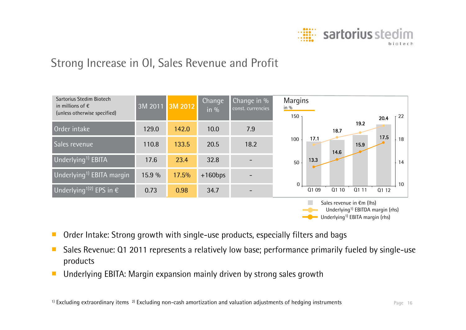

## Strong Increase in OI, Sales Revenue and Profit



- ■Order Intake: Strong growth with single-use products, especially filters and bags
- ■ Sales Revenue: Q1 2011 represents a relatively low base; performance primarily fueled by single-use products
- ■Underlying EBITA: Margin expansion mainly driven by strong sales growth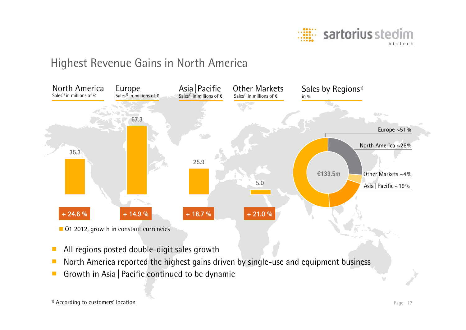

## Highest Revenue Gains in North America



- ■All regions posted double-digit sales growth
- ■North America reported the highest gains driven by single-use and equipment business
- ■Growth in Asia | Pacific continued to be dynamic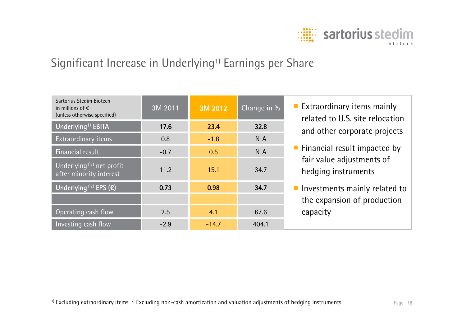

## Significant Increase in Underlying<sup>1)</sup> Earnings per Share

| Sartorius Stedim Biotech<br>in millions of $\epsilon$<br>(unless otherwise specified) | 3M 2011 | 3M 2012 | Change in % | <b>Extraordinary items mainly</b><br>related to U.S. site relocation |
|---------------------------------------------------------------------------------------|---------|---------|-------------|----------------------------------------------------------------------|
| Underlying <sup>1)</sup> EBITA                                                        | 17.6    | 23.4    | 32.8        | and other corporate projects                                         |
| Extraordinary items                                                                   | 0.8     | $-1.8$  | $N$ $A$     |                                                                      |
| Financial result                                                                      | $-0.7$  | 0.5     | $N$ $A$     | $\blacksquare$ Financial result impacted by                          |
| Underlying <sup>1)2</sup> net profit<br>after minority interest                       | 11.2    | 15.1    | 34.7        | fair value adjustments of<br>hedging instruments                     |
| Underlying <sup>1)2)</sup> EPS $(\epsilon)$                                           | 0.73    | 0.98    | 34.7        | $\blacksquare$ Investments mainly related to                         |
|                                                                                       |         |         |             | the expansion of production                                          |
| Operating cash flow                                                                   | 2.5     | 4.1     | 67.6        | capacity                                                             |
| Investing cash flow                                                                   | $-2.9$  | $-14.7$ | 404.1       |                                                                      |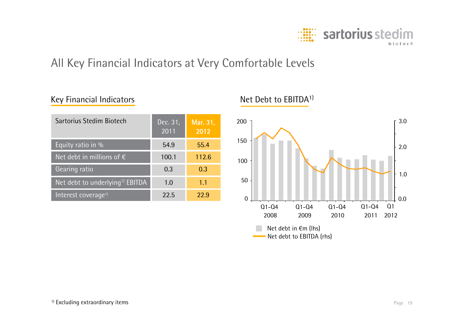

## All Key Financial Indicators at Very Comfortable Levels

#### Key Financial Indicators

| Sartorius Stedim Biotech                    | Dec. 31,<br>2011 | Mar. 31,<br>2012 |
|---------------------------------------------|------------------|------------------|
| Equity ratio in %                           | 54.9             | 55.4             |
| Net debt in millions of $\epsilon$          | 100.1            | 112.6            |
| Gearing ratio                               | 0.3              | 0.3              |
| Net debt to underlying <sup>1)</sup> EBITDA | 1.0              | 1.1              |
| Interest coverage <sup>1)</sup>             | 22.5             | 229              |

#### Net Debt to EBITDA1)

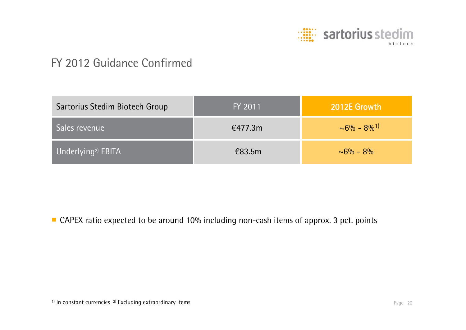

## FY 2012 Guidance Confirmed

| Sartorius Stedim Biotech Group | FY 2011 | 2012E Growth                   |
|--------------------------------|---------|--------------------------------|
| Sales revenue                  | €477.3m | $\sim 6\% - 8\%$ <sup>1)</sup> |
| Underlying <sup>2)</sup> EBITA | €83.5m  | $\sim 6\% - 8\%$               |

■ CAPEX ratio expected to be around 10% including non-cash items of approx. 3 pct. points